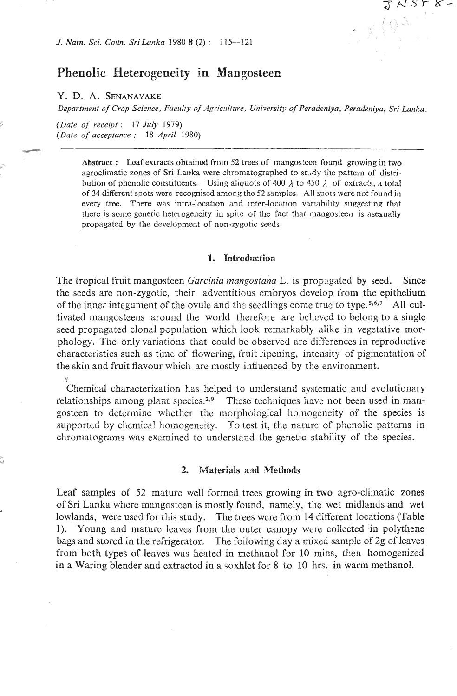# **Phenolic Heterogeneity in Mangosteen**

### **Y.** D. **A. SENANAYAKE**

*Department of Crop Science, Faculty of Agriculture, University of Peradeniya, Peradeniya, Sri Lanka.*<br>
(Date of *receipt*: 17 July 1979)

 $S\,r$ ୪

*(Date of acceptance* : *18 April 1980)* 

**Abstract** : Leaf extracts obtainod from 52 trees of mangostoen found growing in two agroclimatic zones of Sri Lanka were chromatographed to study the pattern of distribution of phenolic constituents. Using aliquots of 400  $\lambda$  to 450  $\lambda$  of extracts, a total of 34 different spots were recognised among the 52 samples. All spots were not found in every tree. There was intra-location and inter-location variability suggesting **that**  there is some genetic heterogeneity in spite of the fact that mangosteen is asexually propagated by the development of non-zygotic seeds.

#### **1. Introduction**

The tropical fruit mangosteen *Garcinia mangostana* L. is propagated by seed. Since the seeds are non-zygotic, their adventitious embryos develop from the epithelium of the inner integument of the ovule and the seedlings come truc to type.<sup>5,6,7</sup> All cultivated mangosteens around the world therefore are believed to belong to a single seed propagated clonal population which look remarkably alike in vegetative morphology. The only variations that could be obscrved are differences in reproductive characteristics such as time of flowering, fruit ripening, intensity of pigmentation of the skin and fruit flavour which are mostly influenced by the environment.

**S**  Chemical characterization has helped to understand systematic and evolutionary relationships among plant species.<sup>2,9</sup> These techniques have not been used in mangosteen to determine whether the morphological homogeneity of the species is supported by chemical homogeneity. To test it, the nature of phenolic patterns in chromatograms was examined to understand the genetic stability of the species.

#### **2. Materials and Methods**

Leaf samples of *52* mature well formed trees growing in two agro-climatic zones **of** Sri Lanka where mangostcen is mostly found, namely, the wet midlands and wet lowlands, were used for this study. The trees were from 14 different locations (Table 1). Young and mature leaves from the outer canopy were collected in polythene bags and stored in the refrigerator. The following day a mixed sample of 2g of leaves from both types of leaves was heated in methanol for 10 mins, then homogenized in a Waring blender and extracted in a soxhlet for 8 to 10 hrs. in warm methanol.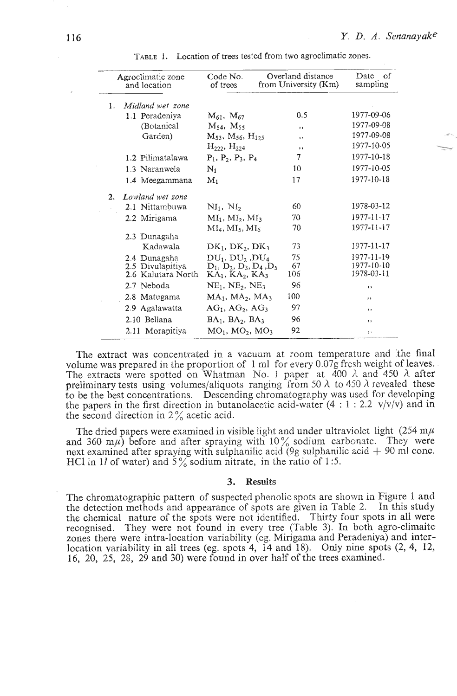|    | Agroclimatic zone<br>and location | Code No.<br>of trees            | Overland distance<br>from University (Km) | Date<br>of<br>sampling   |
|----|-----------------------------------|---------------------------------|-------------------------------------------|--------------------------|
| 1. | Midland wet zone                  |                                 |                                           |                          |
|    | 1.1 Peradeniya                    | $M_{61}$ , $M_{67}$             | 0.5                                       | 1977-09-06               |
|    | (Botanical)                       | $M_{54}$ , $M_{55}$             | $\cdots$                                  | 1977-09-08               |
|    | Garden)                           | $M_{53}$ , $M_{56}$ , $H_{125}$ | $\cdot$                                   | 1977-09-08               |
|    |                                   | $H_{222}$ , $H_{224}$           | $\cdots$                                  | 1977-10-05               |
|    | 1.2 Pilimatalawa                  | $P_1$ , $P_2$ , $P_3$ , $P_4$   | 7                                         | 1977-10-18               |
|    | 1.3 Naranwela                     | $\rm N_1$                       | 10 <sup>1</sup>                           | 1977-10-05               |
|    | 1.4 Meegammana                    | $M_1$                           | 17                                        | 1977-10-18               |
| 2. | Lowland wet zone                  |                                 |                                           |                          |
|    | 2.1 Nittambuwa                    | $NI_1$ , $NI_2$                 | 60                                        | 1978-03-12               |
|    | 2.2 Mirigama                      | $MI_1$ , $MI_2$ , $MI_3$        | 70                                        | 1977-11-17               |
|    |                                   | $MI_4, MI_5, MI_6$              | 70                                        | 1977-11-17               |
|    | 2.3 Dunagaha                      |                                 |                                           |                          |
|    | Kadawala                          | $DK_1, DK_2, DK_3$              | 73                                        | 1977-11-17               |
|    | 2.4 Dunagaha                      | $DU_1$ , $DU_2$ , $DU_4$        | 75                                        | 1977-11-19               |
|    | 2.5 Divulapitiya                  | $D_1, D_2, D_3, D_4, D_5$       | 67                                        | 1977-10-10<br>1978-03-11 |
|    | 2.6 Kalutara North                | KA1, KA2, KA3                   | 106                                       |                          |
|    | 2.7 Neboda                        | $NE1$ , $NE2$ , $NE3$           | 96                                        | ,,                       |
|    | 2.8 Matugama                      | $MA1$ , $MA2$ , $MA3$           | 100                                       | $\cdots$                 |
|    | 2.9 Agalawatta                    | $AG_1$ , $AG_2$ , $AG_3$        | 97                                        | $, \,$                   |
|    | 2.10 Bellana                      | $BA1$ , $BA2$ , $BA3$           | 96                                        | $, \,$                   |
|    | 2.11 Morapitiya                   | $MO_1$ , $MO_2$ , $MO_3$        | 92                                        | ۹Ñ                       |

TABLE 1. Location of trees tested from two agroclimatic zones.

The extract was concentrated in a vacuum at room temperature and 'the final volume was prepared in the proportion of 1 ml for every 0.07g fresh weight of leaves. The extracts were spotted on Whatman No. 1 paper at  $400 \lambda$  and  $450 \lambda$  after preliminary tests using volumes/aliquots ranging from 50  $\lambda$  to 450  $\lambda$  revealed these to be the best concentrations. Descending chromatography was used for developing the papers in the first direction in butanolacetic acid-water (4 : 1 : 2.2  $v/v/v$ ) and in the second direction in  $2\%$  acetic acid.

The dried papers were examined in visible light and under ultraviolet light  $(254 \text{ m}\mu)$ and 360 m $\mu$ ) before and after spraying with 10% sodium carbonate. They were next examined after spraying with sulphanilic acid  $(9g$  sulphanilic acid  $+ 90$  m conc. **MCI** in 11 of water) and **S** % sodium aitrate, in the ratio of 1 :5.

#### **3. Results**

The chromatographic pattern of suspected phenolic spots are shown in Figure 1 and the detection methods and appearance of spots are given in Table 2. In this study the chemical nature of the spots were not identified. Thirty four spots in all were recognised. They were not found in every tree (Table 3). In both agro-climaitc zones there were intra-location variability (eg. Mirigama and Peradeniya) and interlocation variabjlity in all trees (eg. spots 4, 14 and 18). Only nine spots (2, **4,** 12, 16, 20, 25, 28, 29 and 30) were found in over half of the trees examined.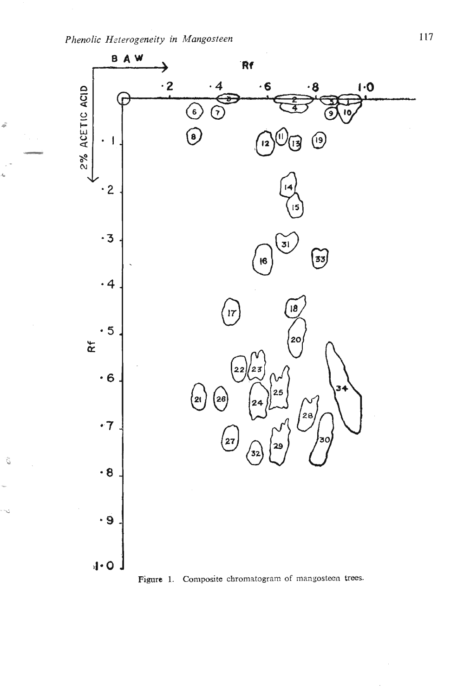ã

Ĝ

Ú

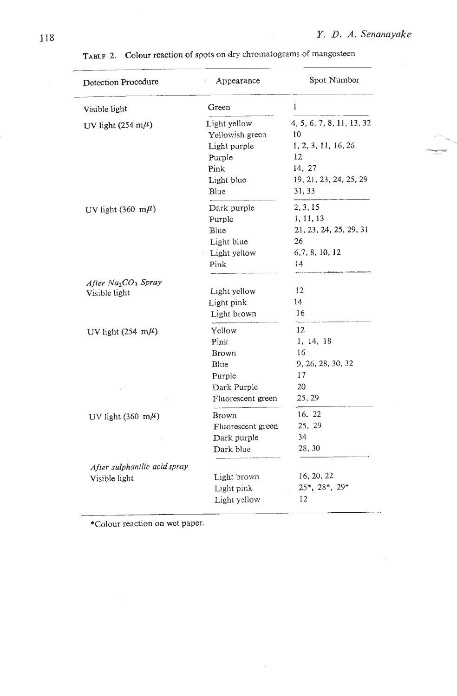| Detection Procedure                         | Appearance                      | Spot Number                     |
|---------------------------------------------|---------------------------------|---------------------------------|
| Visible light                               | Green                           | 1                               |
| UV light (254 m $\mu$ )                     | Light yellow<br>Yellowish green | 4, 5, 6, 7, 8, 11, 13, 32<br>10 |
|                                             | Light purple                    | 1, 2, 3, 11, 16, 26             |
|                                             | Purple                          | 12                              |
|                                             | Pink                            | 14, 27                          |
|                                             | Light blue                      | 19, 21, 23, 24, 25, 29          |
|                                             | Blue                            | 31, 33                          |
| UV light (360 m $\mu$ )                     | Dark purple                     | 2, 3, 15                        |
|                                             | Purple                          | 1, 11, 13                       |
|                                             | Blue                            | 21, 23, 24, 25, 29, 31          |
|                                             | Light blue                      | 26                              |
|                                             | Light yellow                    | 6,7,8,10,12                     |
|                                             | Pink                            | 14                              |
| After Na <sub>2</sub> CO <sub>3</sub> Spray |                                 |                                 |
| Visible light                               | Light yellow                    | 12                              |
|                                             | Light pink                      | 14                              |
|                                             | Light brown                     | 16                              |
| UV light (254 m $\mu$ )                     | Yellow                          | 12                              |
|                                             | Pink                            | 1, 14, 18                       |
|                                             | <b>Brown</b>                    | 16                              |
|                                             | Blue                            | 9, 26, 28, 30, 32               |
|                                             | Purple                          | 17                              |
|                                             | Dark Purple                     | 20                              |
|                                             | Fluorescent green               | 25, 29                          |
| UV light (360 m $\mu$ )                     | Brown                           | 16. 22                          |
|                                             | Fluorescent green               | 25, 29                          |
|                                             | Dark purple                     | 34                              |
|                                             | Dark blue                       | 28, 30                          |
| After sulphanilic acid spray                |                                 |                                 |
| Visible light                               | Light brown                     | 16, 20, 22                      |
|                                             | Light pink                      | 25*, 28*, 29*                   |
|                                             | Light yellow                    | 12                              |
|                                             |                                 |                                 |

 $\bar{z}$ 

TABLE 2. Colour reaction of spots on dry chromatograms of mangosteen

\*Colour reaction on wet paper.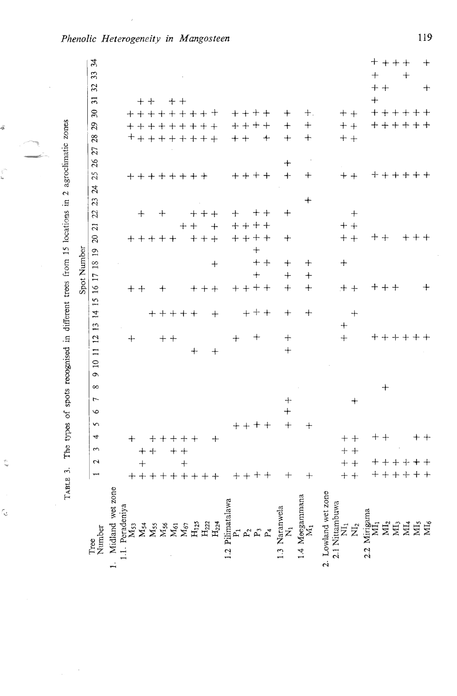The types of spots recognised in different trees from 15 locations in 2 agroclimatic zones TABLE 3.

ş

r)

t.

r.

|                                       |                               |                       |             |            |                           |          |                            |            |           |                |                                 |          | Spot Number       |             |     |                                            |                    |                                        |               |          |    |           |               |                           |                 |                 |                      |  |
|---------------------------------------|-------------------------------|-----------------------|-------------|------------|---------------------------|----------|----------------------------|------------|-----------|----------------|---------------------------------|----------|-------------------|-------------|-----|--------------------------------------------|--------------------|----------------------------------------|---------------|----------|----|-----------|---------------|---------------------------|-----------------|-----------------|----------------------|--|
| Tree<br>Number                        | $\mathbf 2$<br>$\overline{ }$ | $\tilde{\phantom{a}}$ | 4           | $\sqrt{2}$ | $\overline{a}$<br>$\circ$ | $\infty$ | $\overline{a}$<br>$\sigma$ | $\equiv$   | 12        | $\frac{13}{2}$ |                                 |          | 14 15 16 17 18 19 |             |     | $\overline{z}$<br>$\overline{\mathcal{L}}$ | $\mathfrak{A}$     | $\boldsymbol{\beta}$<br>$\mathfrak{L}$ | 25            | 26       | 27 | 28        | 29            | $\overline{\mathfrak{L}}$ | $\overline{31}$ | $\overline{32}$ | $\mathfrak{z}$<br>33 |  |
| Midland wet zone                      |                               |                       |             |            |                           |          |                            |            |           |                |                                 |          |                   |             |     |                                            |                    |                                        |               |          |    |           |               |                           |                 |                 |                      |  |
| Peradeniya<br>$M_{53}$                |                               |                       | $^{+}$      |            |                           |          |                            |            | $\bm{+}$  |                |                                 |          |                   |             |     |                                            |                    |                                        |               |          |    |           |               |                           |                 |                 |                      |  |
| $M_{54}$                              | $\ddot{+}$                    |                       |             |            |                           |          |                            |            |           |                |                                 | $+ +$    |                   |             |     |                                            | $^{+}$             |                                        |               |          |    |           |               |                           |                 |                 |                      |  |
|                                       | + + + + + + + + +             | $+ +$                 |             |            |                           |          |                            |            |           |                |                                 |          |                   |             |     | $+ + + + +$                                |                    |                                        | ++++++++      |          |    | +++++++++ | +++++++++     | +++++++++                 | $++$            |                 |                      |  |
| $X_{ss}$<br>$X_{ss}$                  |                               |                       |             |            |                           |          |                            |            |           |                |                                 | $\bm{+}$ |                   |             |     |                                            | $\hspace{0.1mm} +$ |                                        |               |          |    |           |               |                           |                 |                 |                      |  |
|                                       |                               |                       |             |            |                           |          |                            |            | $++$      |                |                                 |          |                   |             |     |                                            |                    |                                        |               |          |    |           |               |                           | $++$            |                 |                      |  |
| $M_{67}$                              | $+$                           | $+ +$                 | $+ + + + +$ |            |                           |          |                            |            |           |                | $+++++$                         |          |                   |             |     | $++$                                       |                    |                                        |               |          |    |           |               |                           |                 |                 |                      |  |
| $H_{125}$                             |                               |                       |             |            |                           |          |                            | $+$        |           |                |                                 |          |                   |             |     | $++ +$                                     | $+ + +$            |                                        |               |          |    |           |               |                           |                 |                 |                      |  |
| $\rm{H}_{222}$                        |                               |                       |             |            |                           |          |                            |            |           |                |                                 | $+++$    |                   |             |     |                                            |                    |                                        |               |          |    |           |               |                           |                 |                 |                      |  |
| $H_{224}$                             |                               |                       | $+$         |            |                           |          |                            | $\ddot{+}$ |           |                | $\hspace{.1cm} + \hspace{.1cm}$ |          |                   | $\ddag$     |     | $+$                                        |                    |                                        |               |          |    |           |               |                           |                 |                 |                      |  |
| Pilimatalawa<br>$\frac{5}{2}$         |                               |                       |             |            |                           |          |                            |            | $^{+}$    |                |                                 |          |                   |             |     |                                            | $\hspace{0.1mm} +$ |                                        |               |          |    |           |               |                           |                 |                 |                      |  |
|                                       | $++++$                        |                       |             | $+++$      |                           |          |                            |            |           |                |                                 | $++++$   |                   |             |     | $++++$<br>$+ + + +$                        |                    |                                        | $+++++$       |          |    | $+ +$     | $++++$        | $++++$                    |                 |                 |                      |  |
|                                       |                               |                       |             |            |                           |          |                            |            | $^+$      |                | $+ + +$                         |          | $\ddot{}$         | $\pm$ $\pm$ | $+$ |                                            | $\pm$ $\pm$        |                                        |               |          |    |           |               |                           |                 |                 |                      |  |
|                                       |                               |                       |             |            |                           |          |                            |            |           |                |                                 |          |                   |             |     |                                            |                    |                                        |               |          |    | $\ddot{}$ |               |                           |                 |                 |                      |  |
| 1.3 Naranwela<br>N <sub>1</sub>       | $^{+}$                        |                       |             | $^{+}$     | $+$<br>$\ddot{+}$         |          |                            | $\ddot{+}$ | $^{+}$    |                | $^{+}$                          | $^{+}$   | $^{+}$            | $^{+}$      |     | $\hspace{0.1mm} +\hspace{0.1mm}$           | $\ddot{}$          |                                        | $+$           | $\bm{+}$ |    | $^{+}$    | $+$           | $\pm$                     |                 |                 |                      |  |
| 1.4 Meegammana<br>$\mathbf{z}_1$      | $+$                           |                       |             | $\div$     |                           |          |                            |            |           |                | ╈                               | $^{+}$   | $+$               | $^{+}$      |     |                                            |                    | $\, +$                                 | $^{+}$        |          |    | $\, + \,$ | $^{+}$        | $+$ .                     |                 |                 |                      |  |
| 2. Lowland wet zone<br>2.1 Nittambuwa |                               |                       |             |            |                           |          |                            |            |           |                |                                 |          |                   |             |     |                                            |                    |                                        |               |          |    |           |               |                           |                 |                 |                      |  |
| $\vec{\overline{z}}$                  | $+ +$<br>$+ +$                | $+ +$                 | $++$        |            |                           |          |                            |            | $\ddot{}$ | $^{+}$         |                                 | $++$     |                   | $^{+}$      |     | $+ +$<br>$+ +$                             |                    |                                        | $++$          |          |    | $+ +$     | $+ +$         | $++$                      |                 |                 |                      |  |
| $\overline{\Sigma}$                   |                               |                       |             |            | $^{+}$                    |          |                            |            |           |                | $\,+\,$                         |          |                   |             |     |                                            | $+$                |                                        |               |          |    |           |               |                           |                 |                 |                      |  |
| 2.2 Mirigama<br>$\Xi_1$               |                               |                       | ┿           |            |                           |          |                            |            |           |                |                                 |          |                   |             |     | $\bm{+}$                                   |                    |                                        | ┽             |          |    |           |               |                           | $+$             |                 | $\overline{+}$       |  |
|                                       | $+ + + +$<br>$+ + + + + +$    |                       | $+$         |            |                           | $^{+}$   |                            |            | キキキキキキ    |                |                                 | $+ + +$  |                   |             |     | $+$                                        |                    |                                        | $+ + + + + +$ |          |    |           | $+ + + + + +$ | $+ + + + + +$             |                 | $++$            | $+ + + +$            |  |
| <b>ZENES</b>                          |                               |                       |             |            |                           |          |                            |            |           |                |                                 |          |                   |             |     |                                            |                    |                                        |               |          |    |           |               |                           |                 |                 |                      |  |
|                                       |                               |                       |             |            |                           |          |                            |            |           |                |                                 |          |                   |             |     | $\,{}^+$                                   |                    |                                        |               |          |    |           |               |                           |                 |                 | $+$                  |  |
|                                       | $++$                          |                       |             |            |                           |          |                            |            |           |                |                                 |          |                   |             |     |                                            |                    |                                        |               |          |    |           |               |                           |                 |                 |                      |  |
|                                       |                               |                       | $^{+}$      |            |                           |          |                            |            |           |                |                                 | $\, +$   |                   |             |     |                                            |                    |                                        |               |          |    |           |               |                           |                 | $\,+\,$         | $\ddot{}$            |  |

# Phenolic Heterogeneity in Mangosteen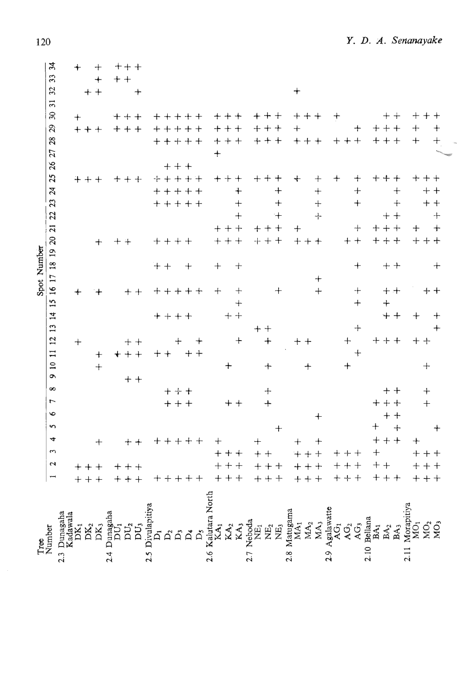|                | 34<br>33<br>$\overline{32}$<br>$\overline{31}$<br>$\mathfrak{D}$<br>$\overline{c}$     | $\ddot{}$<br>$\ddot{}$ | $+$<br>$^{+}$<br>$+ +$<br>$+++$ |                  |                   | $+ + +$<br>$+ +$<br>$+++$<br>$+ + +$ | $^{+}$         |                  | $^{+}$ | $+ + + + +$<br>$++$                                   |            | $+$           |                            | $++$<br>$++$             |                                    |               |                                | $++++$<br>$+++$                                            |                 | $\,{}^+$<br>$+$ | $++++$                                                       |                   | $\bm{+}$              | $\div$                                                  |                                    | $++$                   | $++$                   | $^{+}$<br>$^{+}$                      | $+ +$                |
|----------------|----------------------------------------------------------------------------------------|------------------------|---------------------------------|------------------|-------------------|--------------------------------------|----------------|------------------|--------|-------------------------------------------------------|------------|---------------|----------------------------|--------------------------|------------------------------------|---------------|--------------------------------|------------------------------------------------------------|-----------------|-----------------|--------------------------------------------------------------|-------------------|-----------------------|---------------------------------------------------------|------------------------------------|------------------------|------------------------|---------------------------------------|----------------------|
|                | 28<br>26 27<br>25<br>23 24<br>22                                                       |                        | $+++$                           |                  |                   | $+ + +$                              |                |                  | ┿      | $+ + + + +$<br>$++$<br>+++++<br>$++++$<br>$+ + + + +$ |            |               | $+$                        | $+ + +$<br>$++$          | $\ddot{\text{+}}$<br>$^{+}$<br>$+$ |               |                                | $+ + +$<br>$+++$<br>$^{+}$<br>$\hspace{0.1mm} +$<br>$^{+}$ |                 | $\ddot{}$       | $++++$<br>$\boldsymbol{+}$<br>$^{+}$<br>$+$<br>$\frac{1}{2}$ |                   | $++++$<br>$\ddot{}$   | $\mathrm{+}$<br>$\ddag$<br>$^{+}$                       |                                    | $++$<br>$++++$         | $^{+}$<br>$+$<br>$+ +$ | $^{+}$                                | $++$<br>$++$<br>$++$ |
| Spot Number    | $\overline{z}$<br>$\overline{20}$<br>15 16 17 18 19                                    | $\ddag$                |                                 | $+$              |                   | $++$                                 | $+ +$          |                  | $+ +$  | $++++$<br>$+ + + + +$                                 | $^{+}$     |               | $^{+}$<br>$+$              | $++ +$<br>$+++$          | $^{+}$<br>$+$                      |               | $++$                           | $^{+}$<br>$++ +$<br>$^{+}$                                 |                 | $^{+}$<br>$+$   | $+ +$<br>┿<br>$\ddot{+}$                                     |                   |                       | $+$<br>$++$<br>$\pm$<br>┿                               |                                    | $+ +$<br>$+ + +$       | $+$<br>$+ +$<br>$++$   | $+$                                   | $++$<br>$+ +$        |
|                | $\frac{4}{3}$<br>$\frac{13}{2}$<br>$\mathbf{r}$<br>$\overline{1}$<br>$\overline{10}$   | $^{+}$                 |                                 | $\ddot{}$<br>$+$ |                   | $+ + +$                              | $++$           |                  | $+ +$  | $+ + + +$<br>┿                                        |            | $^+$<br>$+ +$ |                            | $\ddot{}$                | $\ddot{+}$<br>$+ +$<br>$\ddot{}$   |               | $\boldsymbol{+}\boldsymbol{+}$ | $+$<br>$+$                                                 |                 | ${+}$ ${+}$     | $\,{}^+$                                                     |                   | $\ddot{}$             | $+$<br>$\hspace{.1cm} + \hspace{.1cm}$<br>$^{+}$<br>$+$ |                                    | $\ddot{+}$<br>$++$ $+$ | $+ +$                  | $\div$                                | $++$<br>$+$          |
|                | $\sigma$<br>$\infty$<br>$\overline{ }$<br>$\bullet$<br>$\mathbf{r}$<br>4<br>$\epsilon$ |                        |                                 | $+$              |                   |                                      | $+ +$<br>$++$  |                  |        | $++++$<br>$++$<br>$+ + + + +$                         |            |               |                            | $\mathrm{+}$<br>$++$ $+$ | $+ +$                              |               | $^{+}$                         | $+$<br>$+$<br>$+$                                          |                 | $+$             | $\ddag$<br>$\pm$                                             |                   |                       |                                                         | $\pm$<br>$^{+}$                    | $++$<br>$++$           | $+ +$<br>$+ +$<br>$+$  | $+$                                   | $+$<br>$+$           |
|                | $\mathbf{r}$<br>$\overline{a}$                                                         |                        | $++++$<br>$++ +$                |                  |                   | $++$<br>$+++$                        |                |                  |        | $+ + + + +$                                           |            |               |                            | $^{+}$<br>$\, +$<br>$++$ | $+$                                |               | $+ +$                          | $+++$<br>$+ + +$                                           |                 |                 | $+++$<br>$+++$<br>$+ + +$                                    |                   | $++$<br>$+ +$<br>$++$ | $^{+}$                                                  |                                    | $+ +$<br>$+ + +$       |                        | $++$                                  | $+++$<br>$+++$       |
| Number<br>Tree | 2.3 Dunagaha                                                                           | adawala                | $\rm{DK}_2$ DK                  |                  | unagaha<br>4<br>Ń | DU <sub>2</sub>                      | $\overline{D}$ | vulapitiy<br>2.5 |        | $\mathsf{D}_2$<br>$\ddot{\Omega}$                     | $\Delta^4$ |               | Kalutara North<br>Š<br>2.6 | $\mathbf{K}\mathbf{A}_2$ | KA <sub>3</sub>                    | Neboda<br>2.7 | ğ                              | NE,<br>$\rm \vec{E}$                                       | Matugama<br>2.8 | MA <sub>1</sub> | MA <sub>3</sub><br>MA <sub>2</sub>                           | Agalawatte<br>2.9 | <u>र्द्ध</u><br>ĄG,   | AG <sub>3</sub>                                         | Bellana<br>BA <sub>1</sub><br>2.10 | BA <sub>2</sub>        | BA,                    | Morapitiya<br>MO <sub>1</sub><br>2.11 | ΜÓ,                  |